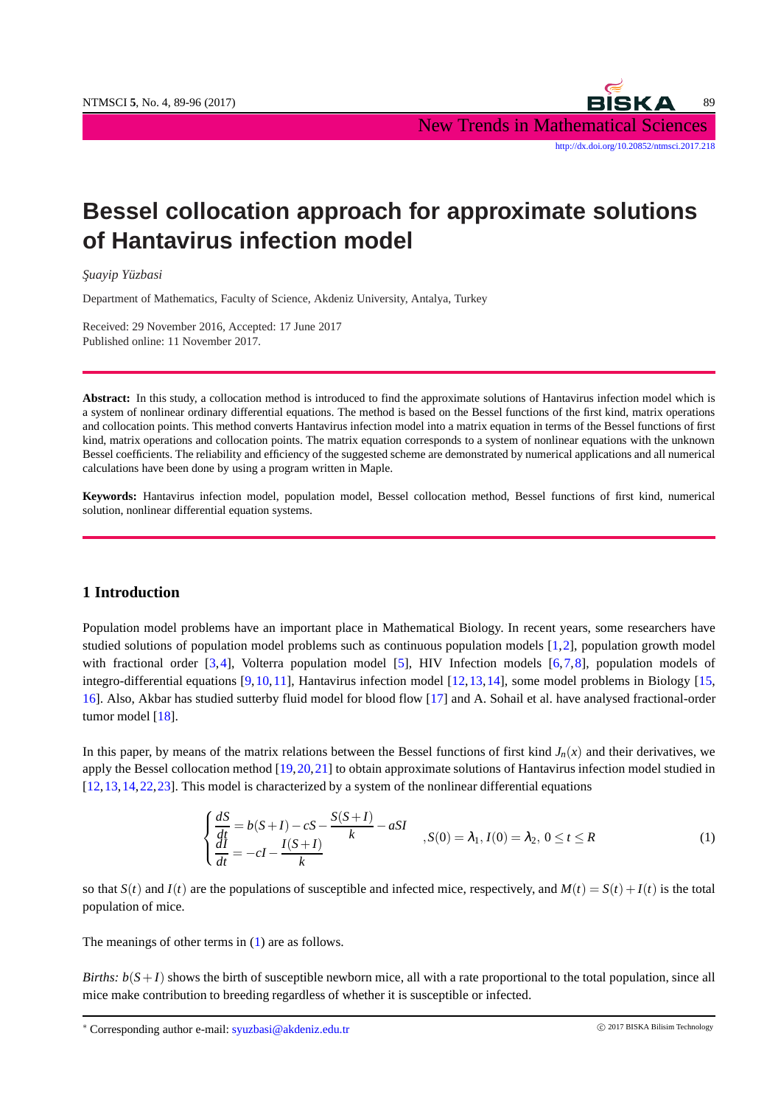NTMSCI 5, No. 4, 89-96 (2017) 89 (2017) 89 (2017) New Trends in Mathematical Sciences [http://dx.doi.org/10.20852/ntmsci.2017.218]( http://dx.doi.org/10.20852/ntmsci.2017.218)

# **Bessel collocation approach for approximate solutions of Hantavirus infection model**

*S¸uayip Yuzbasi ¨*

Department of Mathematics, Faculty of Science, Akdeniz University, Antalya, Turkey

Received: 29 November 2016, Accepted: 17 June 2017 Published online: 11 November 2017.

**Abstract:** In this study, a collocation method is introduced to find the approximate solutions of Hantavirus infection model which is a system of nonlinear ordinary differential equations. The method is based on the Bessel functions of the first kind, matrix operations and collocation points. This method converts Hantavirus infection model into a matrix equation in terms of the Bessel functions of first kind, matrix operations and collocation points. The matrix equation corresponds to a system of nonlinear equations with the unknown Bessel coefficients. The reliability and efficiency of the suggested scheme are demonstrated by numerical applications and all numerical calculations have been done by using a program written in Maple.

**Keywords:** Hantavirus infection model, population model, Bessel collocation method, Bessel functions of first kind, numerical solution, nonlinear differential equation systems.

#### **1 Introduction**

Population model problems have an important place in Mathematical Biology. In recent years, some researchers have studied solutions of population model problems such as continuous population models [\[1,](#page-6-0)[2\]](#page-7-0), population growth model with fractional order [\[3,](#page-7-1)[4\]](#page-7-2), Volterra population model [\[5\]](#page-7-3), HIV Infection models [\[6,](#page-7-4)[7,](#page-7-5)[8\]](#page-7-6), population models of integro-differential equations [\[9,](#page-7-7)[10,](#page-7-8)[11\]](#page-7-9), Hantavirus infection model [\[12,](#page-7-10)[13,](#page-7-11)[14\]](#page-7-12), some model problems in Biology [\[15,](#page-7-13) [16\]](#page-7-14). Also, Akbar has studied sutterby fluid model for blood flow [\[17\]](#page-7-15) and A. Sohail et al. have analysed fractional-order tumor model [\[18\]](#page-7-16).

In this paper, by means of the matrix relations between the Bessel functions of first kind  $J_n(x)$  and their derivatives, we apply the Bessel collocation method  $[19,20,21]$  $[19,20,21]$  $[19,20,21]$  to obtain approximate solutions of Hantavirus infection model studied in [\[12,](#page-7-10)[13,](#page-7-11)[14,](#page-7-12)[22,](#page-7-20)[23\]](#page-7-21). This model is characterized by a system of the nonlinear differential equations

<span id="page-0-0"></span>
$$
\begin{cases}\n\frac{dS}{dt} = b(S+I) - cS - \frac{S(S+I)}{k} - aSI \\
\frac{dI}{dt} = -cI - \frac{I(S+I)}{k}\n\end{cases}, S(0) = \lambda_1, I(0) = \lambda_2, 0 \le t \le R
$$
\n(1)

so that  $S(t)$  and  $I(t)$  are the populations of susceptible and infected mice, respectively, and  $M(t) = S(t) + I(t)$  is the total population of mice.

The meanings of other terms in  $(1)$  are as follows.

*Births:*  $b(S+I)$  shows the birth of susceptible newborn mice, all with a rate proportional to the total population, since all mice make contribution to breeding regardless of whether it is susceptible or infected.

<sup>∗</sup> Corresponding author e-mail: syuzbasi@akdeniz.edu.tr <sup>c</sup> 2017 BISKA Bilisim Technology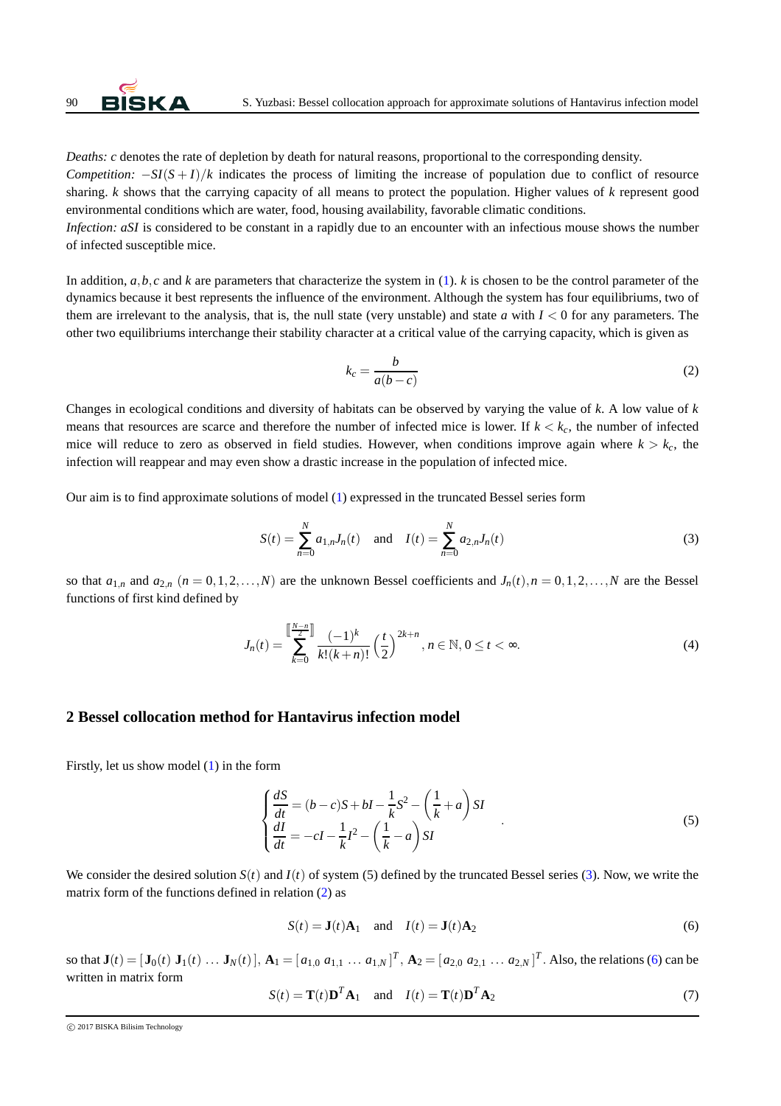

*Deaths: c* denotes the rate of depletion by death for natural reasons, proportional to the corresponding density. *Competition:*  $-\frac{S I(S+I)}{k}$  indicates the process of limiting the increase of population due to conflict of resource sharing. *k* shows that the carrying capacity of all means to protect the population. Higher values of *k* represent good environmental conditions which are water, food, housing availability, favorable climatic conditions.

*Infection: aSI* is considered to be constant in a rapidly due to an encounter with an infectious mouse shows the number of infected susceptible mice.

In addition,  $a, b, c$  and  $k$  are parameters that characterize the system in  $(1)$ .  $k$  is chosen to be the control parameter of the dynamics because it best represents the influence of the environment. Although the system has four equilibriums, two of them are irrelevant to the analysis, that is, the null state (very unstable) and state  $a$  with  $I < 0$  for any parameters. The other two equilibriums interchange their stability character at a critical value of the carrying capacity, which is given as

<span id="page-1-1"></span><span id="page-1-0"></span>
$$
k_c = \frac{b}{a(b-c)}\tag{2}
$$

Changes in ecological conditions and diversity of habitats can be observed by varying the value of *k*. A low value of *k* means that resources are scarce and therefore the number of infected mice is lower. If  $k < k<sub>c</sub>$ , the number of infected mice will reduce to zero as observed in field studies. However, when conditions improve again where  $k > k_c$ , the infection will reappear and may even show a drastic increase in the population of infected mice.

Our aim is to find approximate solutions of model [\(1\)](#page-0-0) expressed in the truncated Bessel series form

$$
S(t) = \sum_{n=0}^{N} a_{1,n} J_n(t) \text{ and } I(t) = \sum_{n=0}^{N} a_{2,n} J_n(t)
$$
 (3)

so that  $a_{1,n}$  and  $a_{2,n}$  ( $n = 0,1,2,...,N$ ) are the unknown Bessel coefficients and  $J_n(t), n = 0,1,2,...,N$  are the Bessel functions of first kind defined by

$$
J_n(t) = \sum_{k=0}^{\left[\frac{N-n}{2}\right]} \frac{(-1)^k}{k!(k+n)!} \left(\frac{t}{2}\right)^{2k+n}, n \in \mathbb{N}, 0 \le t < \infty.
$$
 (4)

#### **2 Bessel collocation method for Hantavirus infection model**

Firstly, let us show model [\(1\)](#page-0-0) in the form

<span id="page-1-4"></span>
$$
\begin{cases}\n\frac{dS}{dt} = (b-c)S + bI - \frac{1}{k}S^2 - \left(\frac{1}{k} + a\right)SI \\
\frac{dI}{dt} = -cI - \frac{1}{k}I^2 - \left(\frac{1}{k} - a\right)SI\n\end{cases}
$$
\n(5)

We consider the desired solution  $S(t)$  and  $I(t)$  of system (5) defined by the truncated Bessel series [\(3\)](#page-1-0). Now, we write the matrix form of the functions defined in relation [\(2\)](#page-1-1) as

<span id="page-1-2"></span>
$$
S(t) = \mathbf{J}(t)\mathbf{A}_1 \quad \text{and} \quad I(t) = \mathbf{J}(t)\mathbf{A}_2 \tag{6}
$$

so that  $\mathbf{J}(t) = [\mathbf{J}_0(t) \ \mathbf{J}_1(t) \ \dots \ \mathbf{J}_N(t)], \mathbf{A}_1 = [a_{1,0} \ a_{1,1} \ \dots \ a_{1,N}]^T$ ,  $\mathbf{A}_2 = [a_{2,0} \ a_{2,1} \ \dots \ a_{2,N}]^T$ . Also, the relations [\(6\)](#page-1-2) can be written in matrix form

<span id="page-1-3"></span>
$$
S(t) = \mathbf{T}(t)\mathbf{D}^T\mathbf{A}_1 \quad \text{and} \quad I(t) = \mathbf{T}(t)\mathbf{D}^T\mathbf{A}_2 \tag{7}
$$

c 2017 BISKA Bilisim Technology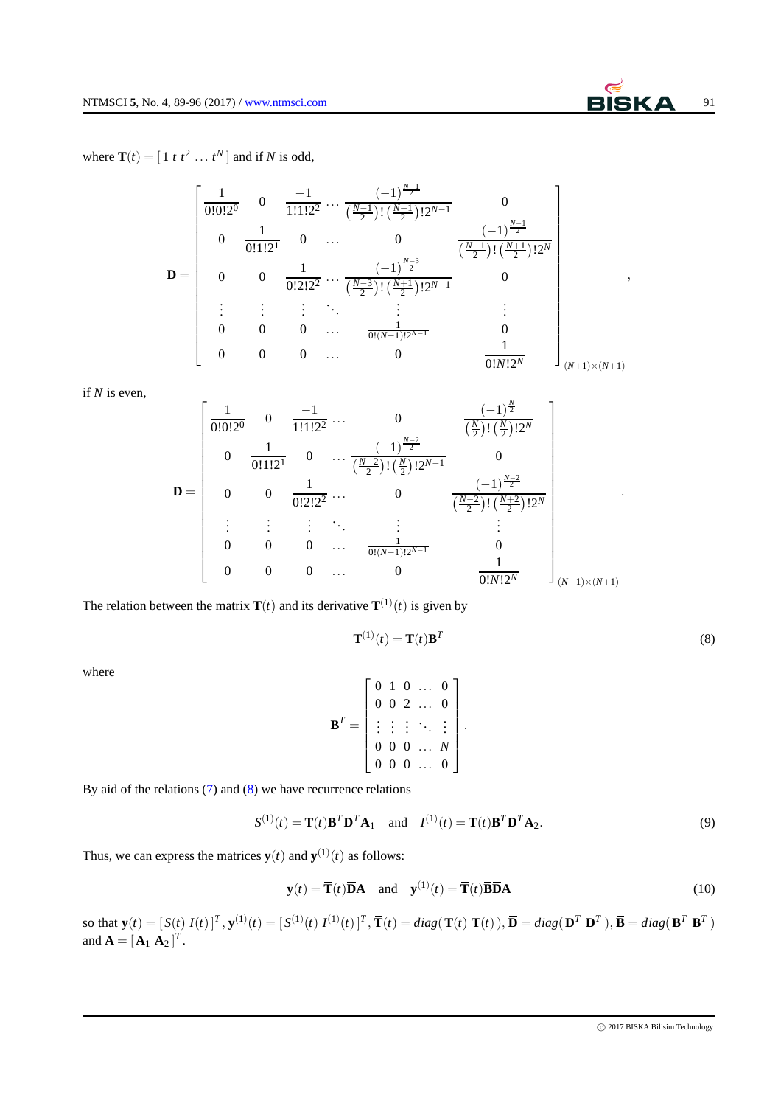where  $\mathbf{T}(t) = \begin{bmatrix} 1 & t & t^2 & \dots & t^N \end{bmatrix}$  and if *N* is odd,

$$
\mathbf{D} = \begin{bmatrix} \frac{1}{0!0!2^{0}} & 0 & \frac{-1}{1!1!2^{2}} \cdots \frac{(-1)^{\frac{N-1}{2}}}{(\frac{N-1}{2})! (\frac{N-1}{2})!2^{N-1}} & 0 \\ 0 & \frac{1}{0!1!2^{1}} & 0 & \cdots & 0 & \frac{(-1)^{\frac{N-1}{2}}}{(\frac{N-1}{2})! (\frac{N+1}{2})!2^{N}} \\ 0 & 0 & \frac{1}{0!2!2^{2}} \cdots \frac{(-1)^{\frac{N-3}{2}}}{(\frac{N-3}{2})! (\frac{N+1}{2})!2^{N-1}} & 0 \\ \vdots & \vdots & \vdots & \ddots & \vdots & \vdots \\ 0 & 0 & 0 & \cdots & \frac{1}{0!(N-1)!2^{N-1}} & 0 \\ 0 & 0 & 0 & \cdots & 0 & \frac{1}{0!N!2^{N}} \end{bmatrix},
$$

if *N* is even,

$$
\mathbf{D} = \begin{bmatrix} \frac{1}{0!0!2^{0}} & 0 & \frac{-1}{1!1!2^{2}} \cdots & 0 & \frac{(-1)^{\frac{N}{2}}}{(\frac{N}{2})! (\frac{N}{2})!2^{N}} \\ 0 & \frac{1}{0!1!2^{1}} & 0 & \cdots & \frac{(-1)^{\frac{N-2}{2}}}{(\frac{N-2}{2})! (\frac{N}{2})!2^{N-1}} & 0 \\ 0 & 0 & \frac{1}{0!2!2^{2}} \cdots & 0 & \frac{(-1)^{\frac{N-2}{2}}}{(\frac{N-2}{2})! (\frac{N+2}{2})!2^{N}} \\ \vdots & \vdots & \vdots & \ddots & \vdots & \vdots \\ 0 & 0 & 0 & \cdots & \frac{1}{0!(N-1)!2^{N-1}} & 0 \\ 0 & 0 & 0 & \cdots & 0 & \frac{1}{0!N!2^{N}} \end{bmatrix}
$$

The relation between the matrix  $\mathbf{T}(t)$  and its derivative  $\mathbf{T}^{(1)}(t)$  is given by

<span id="page-2-0"></span>
$$
\mathbf{T}^{(1)}(t) = \mathbf{T}(t)\mathbf{B}^T
$$
\n(8)

where

$$
\mathbf{B}^T = \begin{bmatrix} 0 & 1 & 0 & \dots & 0 \\ 0 & 0 & 2 & \dots & 0 \\ \vdots & \vdots & \vdots & \ddots & \vdots \\ 0 & 0 & 0 & \dots & N \\ 0 & 0 & 0 & \dots & 0 \end{bmatrix}.
$$

By aid of the relations [\(7\)](#page-1-3) and [\(8\)](#page-2-0) we have recurrence relations

$$
S^{(1)}(t) = \mathbf{T}(t)\mathbf{B}^T\mathbf{D}^T\mathbf{A}_1 \quad \text{and} \quad I^{(1)}(t) = \mathbf{T}(t)\mathbf{B}^T\mathbf{D}^T\mathbf{A}_2. \tag{9}
$$

Thus, we can express the matrices  $y(t)$  and  $y^{(1)}(t)$  as follows:

<span id="page-2-1"></span>
$$
\mathbf{y}(t) = \overline{\mathbf{T}}(t)\overline{\mathbf{D}}\mathbf{A} \quad \text{and} \quad \mathbf{y}^{(1)}(t) = \overline{\mathbf{T}}(t)\overline{\mathbf{B}}\overline{\mathbf{D}}\mathbf{A} \tag{10}
$$

so that  $\mathbf{y}(t) = [S(t) I(t)]^T$ ,  $\mathbf{y}^{(1)}(t) = [S^{(1)}(t) I^{(1)}(t)]^T$ ,  $\overline{\mathbf{T}}(t) = diag(\mathbf{T}(t) \mathbf{T}(t))$ ,  $\overline{\mathbf{D}} = diag(\mathbf{D}^T \mathbf{D}^T)$ ,  $\overline{\mathbf{B}} = diag(\mathbf{B}^T \mathbf{B}^T)$ and  $\mathbf{A} = [\mathbf{A}_1 \ \mathbf{A}_2]^T$ .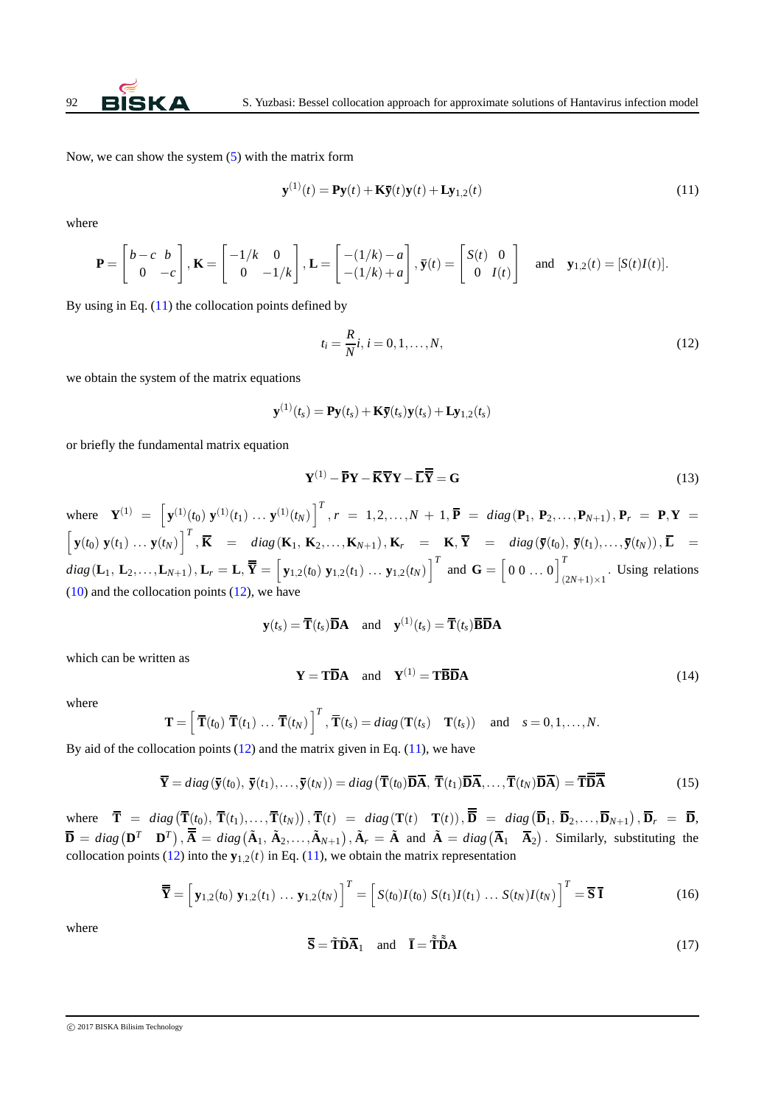Now, we can show the system [\(5\)](#page-1-4) with the matrix form

<span id="page-3-0"></span>
$$
\mathbf{y}^{(1)}(t) = \mathbf{P}\mathbf{y}(t) + \mathbf{K}\overline{\mathbf{y}}(t)\mathbf{y}(t) + \mathbf{L}\mathbf{y}_{1,2}(t)
$$
\n(11)

where

$$
\mathbf{P} = \begin{bmatrix} b-c & b \\ 0 & -c \end{bmatrix}, \mathbf{K} = \begin{bmatrix} -1/k & 0 \\ 0 & -1/k \end{bmatrix}, \mathbf{L} = \begin{bmatrix} -(1/k)-a \\ -(1/k)+a \end{bmatrix}, \overline{\mathbf{y}}(t) = \begin{bmatrix} S(t) & 0 \\ 0 & I(t) \end{bmatrix} \text{ and } \mathbf{y}_{1,2}(t) = [S(t)I(t)].
$$

By using in Eq.  $(11)$  the collocation points defined by

<span id="page-3-1"></span>
$$
t_i = \frac{R}{N}i, \, i = 0, 1, \dots, N,\tag{12}
$$

we obtain the system of the matrix equations

$$
\mathbf{y}^{(1)}(t_s) = \mathbf{P}\mathbf{y}(t_s) + \mathbf{K}\mathbf{\bar{y}}(t_s)\mathbf{y}(t_s) + \mathbf{L}\mathbf{y}_{1,2}(t_s)
$$

or briefly the fundamental matrix equation

<span id="page-3-4"></span>
$$
\mathbf{Y}^{(1)} - \overline{\mathbf{P}}\mathbf{Y} - \overline{\mathbf{K}}\overline{\mathbf{Y}}\mathbf{Y} - \overline{\mathbf{L}}\overline{\overline{\mathbf{Y}}} = \mathbf{G}
$$
\n(13)

where  $\mathbf{Y}^{(1)} = \left[ \mathbf{y}^{(1)}(t_0) \mathbf{y}^{(1)}(t_1) \dots \mathbf{y}^{(1)}(t_N) \right]^T$ ,  $r = 1, 2, \dots, N + 1$ ,  $\mathbf{\bar{P}} = diag(\mathbf{P}_1, \mathbf{P}_2, \dots, \mathbf{P}_{N+1}),$   $\mathbf{P}_r = \mathbf{P}, \mathbf{Y} =$  $\begin{bmatrix} \mathbf{y}(t_0) \ \mathbf{y}(t_1) \ \dots \ \mathbf{y}(t_N) \end{bmatrix}^T$ ,  $\overline{\mathbf{K}}$  = diag( $\mathbf{K}_1$ ,  $\mathbf{K}_2$ , ...,  $\mathbf{K}_{N+1}$ ),  $\mathbf{K}_r$  =  $\mathbf{K}, \overline{\mathbf{Y}}$  = diag( $\overline{\mathbf{y}}(t_0)$ ,  $\overline{\mathbf{y}}(t_1)$ , ...,  $\overline{\mathbf{y}}(t_N)$ ),  $\overline{\mathbf{L}}$   $diag(\mathbf{L}_1, \mathbf{L}_2, \ldots, \mathbf{L}_{N+1}), \mathbf{L}_r = \mathbf{L}, \overline{\overline{\mathbf{Y}}} = \begin{bmatrix} \mathbf{y}_{1,2}(t_0) & \mathbf{y}_{1,2}(t_1) & \ldots & \mathbf{y}_{1,2}(t_N) \end{bmatrix}^T$  and  $\mathbf{G} = \begin{bmatrix} 0 & 0 & \ldots & 0 \end{bmatrix}^T$  $(2N+1)\times 1$ . Using relations  $(10)$  and the collocation points  $(12)$ , we have

$$
\mathbf{y}(t_s) = \overline{\mathbf{T}}(t_s)\overline{\mathbf{D}}\mathbf{A}
$$
 and  $\mathbf{y}^{(1)}(t_s) = \overline{\mathbf{T}}(t_s)\overline{\mathbf{B}}\overline{\mathbf{D}}\mathbf{A}$ 

which can be written as

$$
\mathbf{Y} = \mathbf{T}\mathbf{\overline{D}}\mathbf{A} \quad \text{and} \quad \mathbf{Y}^{(1)} = \mathbf{T}\mathbf{\overline{B}}\mathbf{\overline{D}}\mathbf{A} \tag{14}
$$

where

<span id="page-3-2"></span>
$$
\mathbf{T} = \left[ \overline{\mathbf{T}}(t_0) \ \overline{\mathbf{T}}(t_1) \ \dots \ \overline{\mathbf{T}}(t_N) \right]^T, \ \overline{\mathbf{T}}(t_s) = diag(\mathbf{T}(t_s) \ \mathbf{T}(t_s)) \quad \text{and} \quad s = 0, 1, \dots, N.
$$

By aid of the collocation points  $(12)$  and the matrix given in Eq.  $(11)$ , we have

$$
\overline{\mathbf{Y}} = diag\left(\overline{\mathbf{y}}(t_0), \overline{\mathbf{y}}(t_1), \dots, \overline{\mathbf{y}}(t_N)\right) = diag\left(\overline{\mathbf{T}}(t_0)\overline{\mathbf{D}}\overline{\mathbf{A}}, \overline{\mathbf{T}}(t_1)\overline{\mathbf{D}}\overline{\mathbf{A}}, \dots, \overline{\mathbf{T}}(t_N)\overline{\mathbf{D}}\overline{\mathbf{A}}\right) = \overline{\mathbf{T}}\overline{\mathbf{D}}\overline{\mathbf{A}} \tag{15}
$$

where  $\overline{\mathbf{T}} = diag(\overline{\mathbf{T}}(t_0), \overline{\mathbf{T}}(t_1), \dots, \overline{\mathbf{T}}(t_N)), \overline{\mathbf{T}}(t) = diag(\mathbf{T}(t) \ \mathbf{T}(t)), \overline{\mathbf{D}} = diag(\overline{\mathbf{D}}_1, \overline{\mathbf{D}}_2, \dots, \overline{\mathbf{D}}_{N+1}), \overline{\mathbf{D}}_r = \overline{\mathbf{D}},$  $\overline{\mathbf{D}} = diag\left(\mathbf{D}^T \quad \mathbf{D}^T\right), \overline{\overline{\mathbf{A}}} = diag\left(\tilde{\mathbf{A}}_1, \tilde{\mathbf{A}}_2, \dots, \tilde{\mathbf{A}}_{N+1}\right), \tilde{\mathbf{A}}_r = \tilde{\mathbf{A}} \text{ and } \tilde{\mathbf{A}} = diag\left(\overline{\mathbf{A}}_1 \quad \overline{\mathbf{A}}_2\right).$  Similarly, substituting the collocation points [\(12\)](#page-3-1) into the  $\mathbf{y}_{1,2}(t)$  in Eq. [\(11\)](#page-3-0), we obtain the matrix representation

$$
\overline{\overline{\mathbf{Y}}} = \left[ \mathbf{y}_{1,2}(t_0) \; \mathbf{y}_{1,2}(t_1) \; \dots \; \mathbf{y}_{1,2}(t_N) \; \right]^T = \left[ S(t_0) I(t_0) \; S(t_1) I(t_1) \; \dots \; S(t_N) I(t_N) \; \right]^T = \overline{\mathbf{S}} \; \overline{\mathbf{I}}
$$
\n(16)

<span id="page-3-3"></span>where

$$
\overline{\mathbf{S}} = \widetilde{\mathbf{T}} \widetilde{\mathbf{D}} \overline{\mathbf{A}}_1 \quad \text{and} \quad \overline{\mathbf{I}} = \widetilde{\mathbf{T}} \widetilde{\mathbf{D}} \mathbf{A} \tag{17}
$$

c 2017 BISKA Bilisim Technology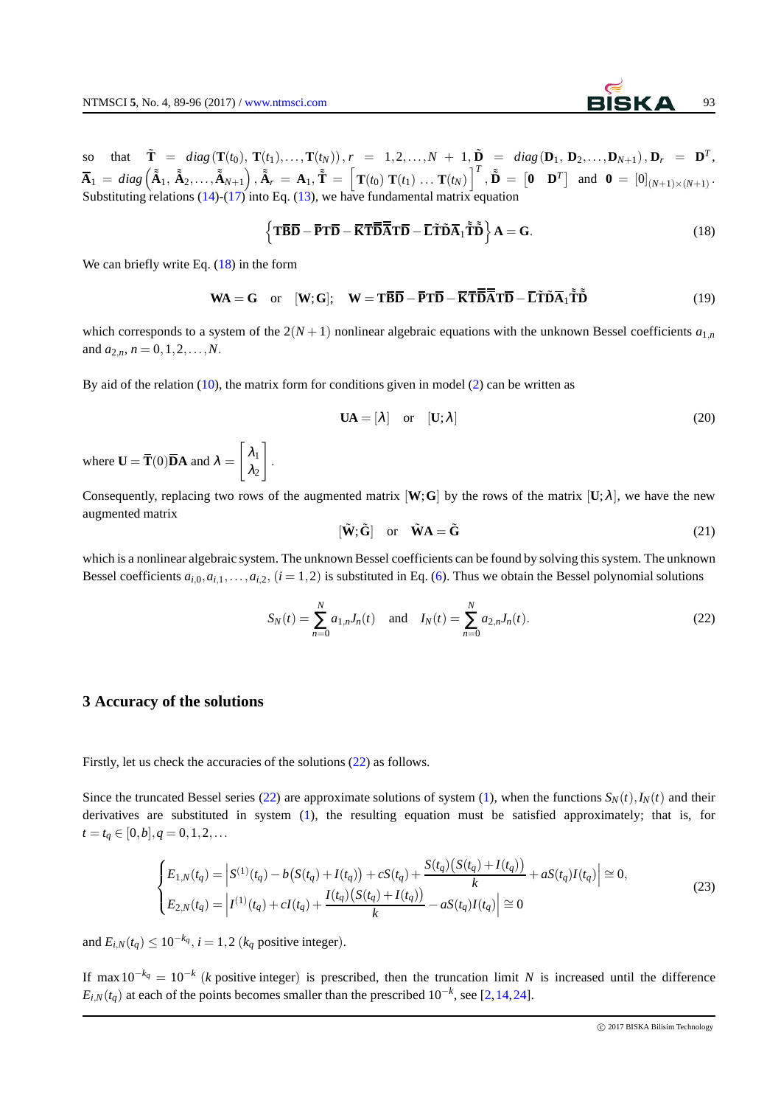so that  $\tilde{T} = diag(T(t_0), T(t_1),..., T(t_N)),$   $r = 1, 2,..., N + 1, \tilde{D} = diag(D_1, D_2,..., D_{N+1}),$   $D_r = D^T$ ,  $\overline{\mathbf{A}}_1 \ = \ diag\left(\tilde{\tilde{\mathbf{A}}}_1, \ \tilde{\tilde{\mathbf{A}}}_2, \ldots, \tilde{\tilde{\mathbf{A}}}_{N+1}\right), \tilde{\tilde{\mathbf{A}}}_r \ = \ \mathbf{A}_1, \ \tilde{\tilde{\mathbf{T}}} \ = \ \left[\mathbf{T}(t_0)\ \mathbf{T}(t_1)\ \ldots\ \mathbf{T}(t_N)\right]^T, \ \tilde{\tilde{\mathbf{D}}} \ = \ \left[\mathbf{0}\quad \mathbf{D}^T\right] \ \ \text{and}\ \ \mathbf{0} \ = \ \left[0\right]_{(N+1) \times (N+1)}.$ Substituting relations  $(14)-(17)$  $(14)-(17)$  $(14)-(17)$  into Eq.  $(13)$ , we have fundamental matrix equation

<span id="page-4-0"></span>
$$
\left\{ \mathbf{T}\mathbf{\overline{B}}\mathbf{\overline{D}} - \mathbf{\overline{F}}\mathbf{T}\mathbf{\overline{D}} - \mathbf{\overline{K}}\mathbf{\overline{T}}\mathbf{\overline{\overline{D}}}\mathbf{\overline{\overline{A}}}\mathbf{T}\mathbf{\overline{D}} - \mathbf{\overline{L}}\mathbf{\overline{T}}\mathbf{\overline{D}}\mathbf{\overline{A}}_1\mathbf{\overline{\tilde{T}}}\mathbf{\overline{\tilde{D}}}\right\}\mathbf{A} = \mathbf{G}.
$$
 (18)

We can briefly write Eq.  $(18)$  in the form

$$
\mathbf{W} \mathbf{A} = \mathbf{G} \quad \text{or} \quad [\mathbf{W}; \mathbf{G}]; \quad \mathbf{W} = \mathbf{T} \mathbf{B} \mathbf{\overline{D}} - \mathbf{\overline{P}} \mathbf{T} \mathbf{\overline{D}} - \mathbf{\overline{K}} \mathbf{\overline{T}} \mathbf{\overline{D}} \mathbf{\overline{A}} \mathbf{T} \mathbf{D} - \mathbf{\overline{L}} \mathbf{\tilde{T}} \mathbf{\tilde{D}} \mathbf{\tilde{A}}_1 \mathbf{\tilde{T}} \mathbf{\tilde{D}} \tag{19}
$$

which corresponds to a system of the  $2(N+1)$  nonlinear algebraic equations with the unknown Bessel coefficients  $a_{1,n}$ and  $a_{2,n}$ ,  $n = 0, 1, 2, \ldots, N$ .

By aid of the relation [\(10\)](#page-2-1), the matrix form for conditions given in model [\(2\)](#page-1-1) can be written as

.

$$
\mathbf{UA} = [\lambda] \quad \text{or} \quad [\mathbf{U}; \lambda] \tag{20}
$$

where  $U = T(0)DA$  and  $\lambda =$  $\left[ \lambda_1 \right]$  $\lambda_2$ 1

Consequently, replacing two rows of the augmented matrix  $[\mathbf{W};\mathbf{G}]$  by the rows of the matrix  $[\mathbf{U};\lambda]$ , we have the new augmented matrix

<span id="page-4-1"></span>
$$
[\tilde{\mathbf{W}}; \tilde{\mathbf{G}}] \quad \text{or} \quad \tilde{\mathbf{W}} \mathbf{A} = \tilde{\mathbf{G}} \tag{21}
$$

which is a nonlinear algebraic system. The unknown Bessel coefficients can be found by solving this system. The unknown Bessel coefficients  $a_{i,0}, a_{i,1}, \ldots, a_{i,2}$ ,  $(i = 1, 2)$  is substituted in Eq. [\(6\)](#page-1-2). Thus we obtain the Bessel polynomial solutions

$$
S_N(t) = \sum_{n=0}^{N} a_{1,n} J_n(t) \text{ and } I_N(t) = \sum_{n=0}^{N} a_{2,n} J_n(t).
$$
 (22)

#### **3 Accuracy of the solutions**

Firstly, let us check the accuracies of the solutions [\(22\)](#page-4-1) as follows.

Since the truncated Bessel series [\(22\)](#page-4-1) are approximate solutions of system [\(1\)](#page-0-0), when the functions  $S_N(t)$ ,  $I_N(t)$  and their derivatives are substituted in system [\(1\)](#page-0-0), the resulting equation must be satisfied approximately; that is, for  $t = t_q \in [0, b], q = 0, 1, 2, \ldots$ 

$$
\begin{cases}\nE_{1,N}(t_q) = \left| S^{(1)}(t_q) - b(S(t_q) + I(t_q)) + cS(t_q) + \frac{S(t_q)(S(t_q) + I(t_q))}{k} + aS(t_q)I(t_q) \right| \approx 0, \\
E_{2,N}(t_q) = \left| I^{(1)}(t_q) + cI(t_q) + \frac{I(t_q)(S(t_q) + I(t_q))}{k} - aS(t_q)I(t_q) \right| \approx 0\n\end{cases}
$$
\n(23)

and  $E_{i,N}(t_q) \leq 10^{-k_q}$ ,  $i = 1,2$  ( $k_q$  positive integer).

If max  $10^{-kq} = 10^{-k}$  (*k* positive integer) is prescribed, then the truncation limit *N* is increased until the difference  $E_{i,N}(t_q)$  at each of the points becomes smaller than the prescribed  $10^{-k}$ , see [\[2,](#page-7-0)[14,](#page-7-12)[24\]](#page-7-22).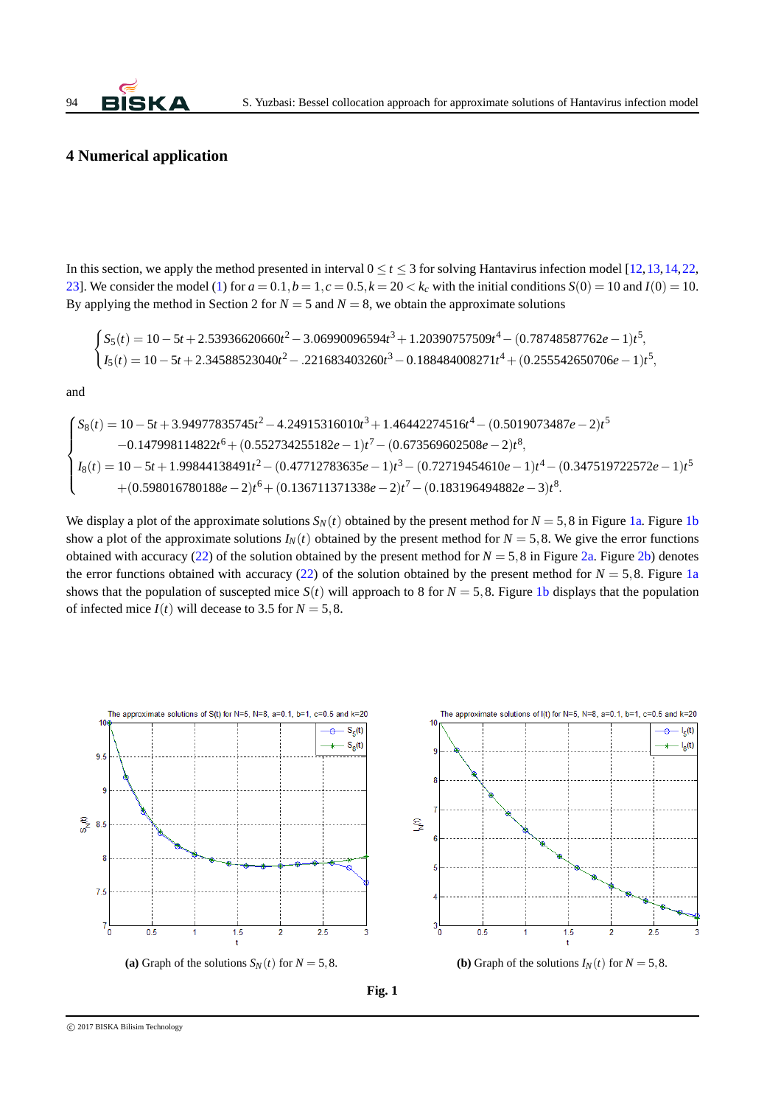### **4 Numerical application**

In this section, we apply the method presented in interval  $0 \le t \le 3$  for solving Hantavirus infection model [\[12,](#page-7-10) [13,](#page-7-11) [14,](#page-7-12) [22,](#page-7-20) [23\]](#page-7-21). We consider the model [\(1\)](#page-0-0) for  $a = 0.1$ ,  $b = 1$ ,  $c = 0.5$ ,  $k = 20 < k_c$  with the initial conditions  $S(0) = 10$  and  $I(0) = 10$ . By applying the method in Section 2 for  $N = 5$  and  $N = 8$ , we obtain the approximate solutions

$$
\begin{cases} S_5(t) = 10 - 5t + 2.53936620660t^2 - 3.06990096594t^3 + 1.20390757509t^4 - (0.78748587762e - 1)t^5, \\ I_5(t) = 10 - 5t + 2.34588523040t^2 - .221683403260t^3 - 0.188484008271t^4 + (0.255542650706e - 1)t^5, \end{cases}
$$

and

$$
\begin{cases} S_8(t) = 10 - 5t + 3.94977835745t^2 - 4.24915316010t^3 + 1.46442274516t^4 - (0.5019073487e - 2)t^5 \\ -0.147998114822t^6 + (0.552734255182e - 1)t^7 - (0.673569602508e - 2)t^8, \\ I_8(t) = 10 - 5t + 1.99844138491t^2 - (0.47712783635e - 1)t^3 - (0.72719454610e - 1)t^4 - (0.347519722572e - 1)t^5 \\ + (0.598016780188e - 2)t^6 + (0.136711371338e - 2)t^7 - (0.183196494882e - 3)t^8. \end{cases}
$$

We display a plot of the approximate solutions  $S_N(t)$  obtained by the present method for  $N = 5,8$  in Figure [1a.](#page-5-0) Figure [1b](#page-5-1) show a plot of the approximate solutions  $I_N(t)$  obtained by the present method for  $N = 5,8$ . We give the error functions obtained with accuracy [\(22\)](#page-4-1) of the solution obtained by the present method for  $N = 5,8$  in Figure [2a.](#page-6-1) Figure [2b\)](#page-6-2) denotes the error functions obtained with accuracy [\(22\)](#page-4-1) of the solution obtained by the present method for  $N = 5,8$ . Figure [1a](#page-5-0) shows that the population of suscepted mice  $S(t)$  will approach to 8 for  $N = 5, 8$ . Figure [1b](#page-5-1) displays that the population of infected mice  $I(t)$  will decease to 3.5 for  $N = 5, 8$ .

<span id="page-5-0"></span>

<span id="page-5-1"></span>**Fig. 1**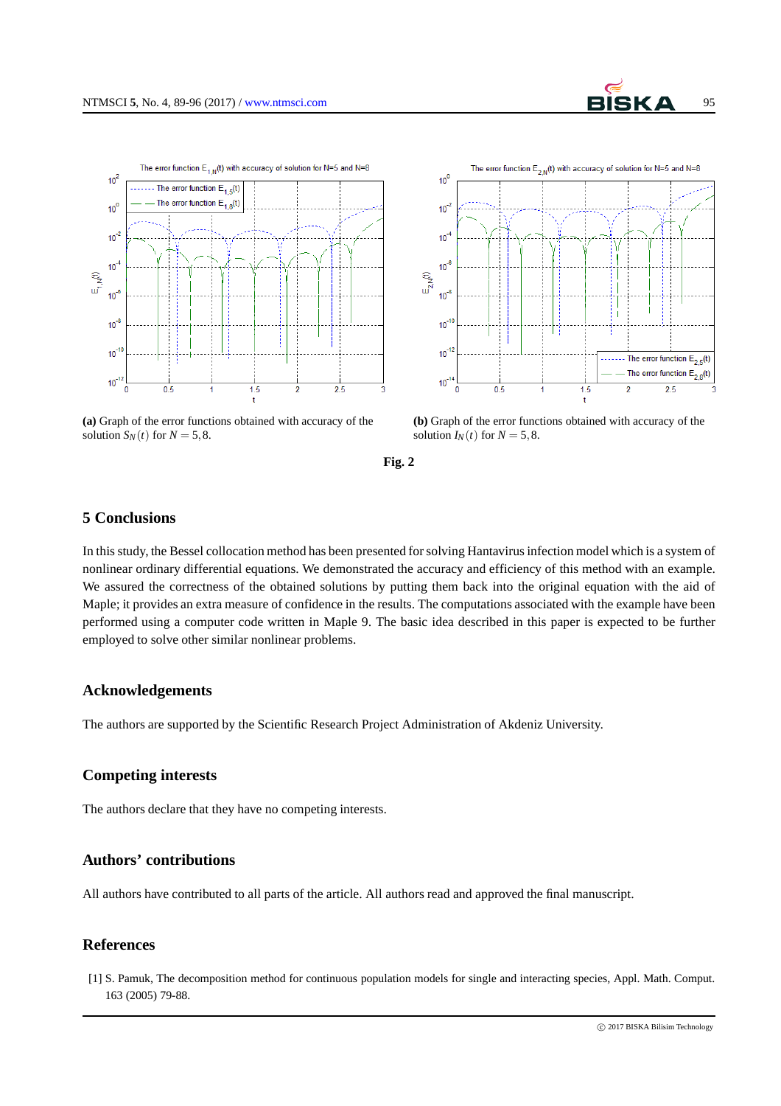<span id="page-6-1"></span>



**(a)** Graph of the error functions obtained with accuracy of the solution  $S_N(t)$  for  $N = 5, 8$ .

<span id="page-6-2"></span>

**Fig. 2**

# **5 Conclusions**

In this study, the Bessel collocation method has been presented for solving Hantavirus infection model which is a system of nonlinear ordinary differential equations. We demonstrated the accuracy and efficiency of this method with an example. We assured the correctness of the obtained solutions by putting them back into the original equation with the aid of Maple; it provides an extra measure of confidence in the results. The computations associated with the example have been performed using a computer code written in Maple 9. The basic idea described in this paper is expected to be further employed to solve other similar nonlinear problems.

## **Acknowledgements**

The authors are supported by the Scientific Research Project Administration of Akdeniz University.

## **Competing interests**

The authors declare that they have no competing interests.

# **Authors' contributions**

All authors have contributed to all parts of the article. All authors read and approved the final manuscript.

## <span id="page-6-0"></span>**References**

[1] S. Pamuk, The decomposition method for continuous population models for single and interacting species, Appl. Math. Comput. 163 (2005) 79-88.